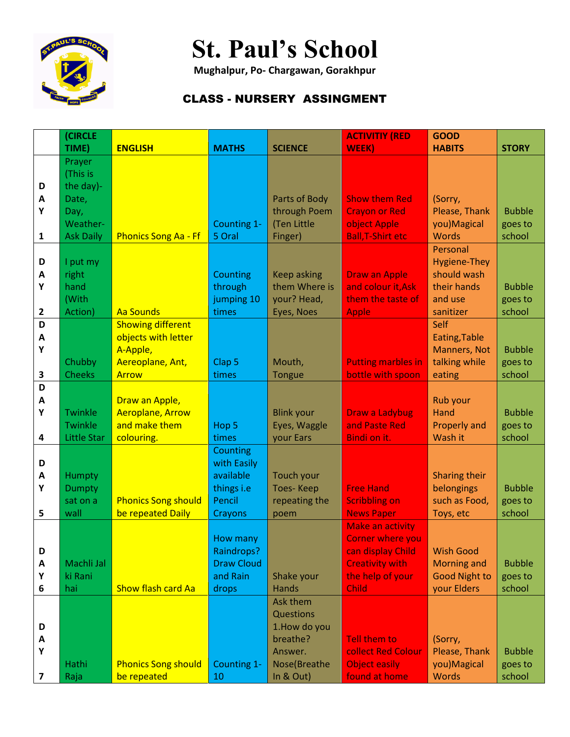

## **St. Paul's School**

**Mughalpur, Po- Chargawan, Gorakhpur**

## CLASS - NURSERY ASSINGMENT

|                         | (CIRCLE               |                             |                                 |                           | <b>ACTIVITIY (RED</b>                      | <b>GOOD</b>              |               |
|-------------------------|-----------------------|-----------------------------|---------------------------------|---------------------------|--------------------------------------------|--------------------------|---------------|
|                         | TIME)                 | <b>ENGLISH</b>              | <b>MATHS</b>                    | <b>SCIENCE</b>            | WEEK)                                      | <b>HABITS</b>            | <b>STORY</b>  |
|                         | Prayer                |                             |                                 |                           |                                            |                          |               |
|                         | (This is              |                             |                                 |                           |                                            |                          |               |
| D                       | the day)-             |                             |                                 |                           |                                            |                          |               |
| A                       | Date,                 |                             |                                 | Parts of Body             | <b>Show them Red</b>                       | (Sorry,                  |               |
| Υ                       | Day,                  |                             |                                 | through Poem              | <b>Crayon or Red</b>                       | Please, Thank            | <b>Bubble</b> |
|                         | Weather-              |                             | Counting 1-                     | (Ten Little               | object Apple                               | you) Magical             | goes to       |
| 1                       | <b>Ask Daily</b>      | <b>Phonics Song Aa - Ff</b> | 5 Oral                          | Finger)                   | <b>Ball, T-Shirt etc</b>                   | <b>Words</b>             | school        |
|                         |                       |                             |                                 |                           |                                            | Personal                 |               |
| D                       | I put my              |                             |                                 |                           |                                            | <b>Hygiene-They</b>      |               |
| A                       | right                 |                             | Counting                        | <b>Keep asking</b>        | <b>Draw an Apple</b>                       | should wash              |               |
| Υ                       | hand                  |                             | through                         | them Where is             | and colour it, Ask                         | their hands              | <b>Bubble</b> |
|                         | (With                 |                             | jumping 10                      | your? Head,               | them the taste of                          | and use                  | goes to       |
| $\overline{\mathbf{2}}$ | Action)               | <b>Aa Sounds</b>            | times                           | Eyes, Noes                | <b>Apple</b>                               | sanitizer                | school        |
| D                       |                       | <b>Showing different</b>    |                                 |                           |                                            | Self                     |               |
| Α                       |                       | objects with letter         |                                 |                           |                                            | Eating, Table            |               |
| Υ                       |                       | A-Apple,                    |                                 |                           |                                            | Manners, Not             | <b>Bubble</b> |
|                         | Chubby                | Aereoplane, Ant,            | Clap <sub>5</sub>               | Mouth,                    | <b>Putting marbles in</b>                  | talking while            | goes to       |
| 3                       | <b>Cheeks</b>         | <b>Arrow</b>                | times                           | Tongue                    | bottle with spoon                          | eating                   | school        |
| D                       |                       |                             |                                 |                           |                                            |                          |               |
| A                       |                       | Draw an Apple,              |                                 |                           |                                            | Rub your                 |               |
| Υ                       | <b>Twinkle</b>        | <b>Aeroplane, Arrow</b>     |                                 | <b>Blink your</b>         | Draw a Ladybug                             | Hand                     | <b>Bubble</b> |
|                         | <b>Twinkle</b>        | and make them               | Hop 5                           | Eyes, Waggle              | and Paste Red                              | <b>Properly and</b>      | goes to       |
| 4                       | Little Star           | colouring.                  | times                           | your Ears                 | Bindi on it.                               | Wash it                  | school        |
|                         |                       |                             | <b>Counting</b>                 |                           |                                            |                          |               |
| D                       |                       |                             | with Easily                     |                           |                                            |                          |               |
| A                       | Humpty                |                             | available                       | Touch your                |                                            | Sharing their            |               |
| Υ                       | <b>Dumpty</b>         |                             | things i.e                      | <b>Toes-Keep</b>          | <b>Free Hand</b>                           | belongings               | <b>Bubble</b> |
|                         | sat on a              | <b>Phonics Song should</b>  | Pencil                          | repeating the             | <b>Scribbling on</b>                       | such as Food,            | goes to       |
| 5                       | wall                  | be repeated Daily           | Crayons                         | poem                      | <b>News Paper</b>                          | Toys, etc                | school        |
|                         |                       |                             |                                 |                           | <b>Make an activity</b>                    |                          |               |
|                         |                       |                             | How many                        |                           | <b>Corner where you</b>                    |                          |               |
| D                       |                       |                             | Raindrops?<br><b>Draw Cloud</b> |                           | can display Child                          | <b>Wish Good</b>         |               |
| A                       | Machli Jal<br>ki Rani |                             | and Rain                        |                           | <b>Creativity with</b><br>the help of your | <b>Morning and</b>       | <b>Bubble</b> |
| Υ                       |                       |                             |                                 | Shake your                |                                            | <b>Good Night to</b>     | goes to       |
| 6                       | hai                   | <b>Show flash card Aa</b>   | drops                           | Hands                     | <b>Child</b>                               | your Elders              | school        |
|                         |                       |                             |                                 | Ask them                  |                                            |                          |               |
|                         |                       |                             |                                 | Questions                 |                                            |                          |               |
| D                       |                       |                             |                                 | 1. How do you<br>breathe? | <b>Tell them to</b>                        |                          |               |
| A<br>Υ                  |                       |                             |                                 | Answer.                   | collect Red Colour                         | (Sorry,<br>Please, Thank | <b>Bubble</b> |
|                         | Hathi                 | <b>Phonics Song should</b>  | Counting 1-                     | Nose(Breathe              | <b>Object easily</b>                       | you)Magical              | goes to       |
| 7                       | Raja                  | be repeated                 | 10                              | In & Out)                 | found at home                              | <b>Words</b>             | school        |
|                         |                       |                             |                                 |                           |                                            |                          |               |